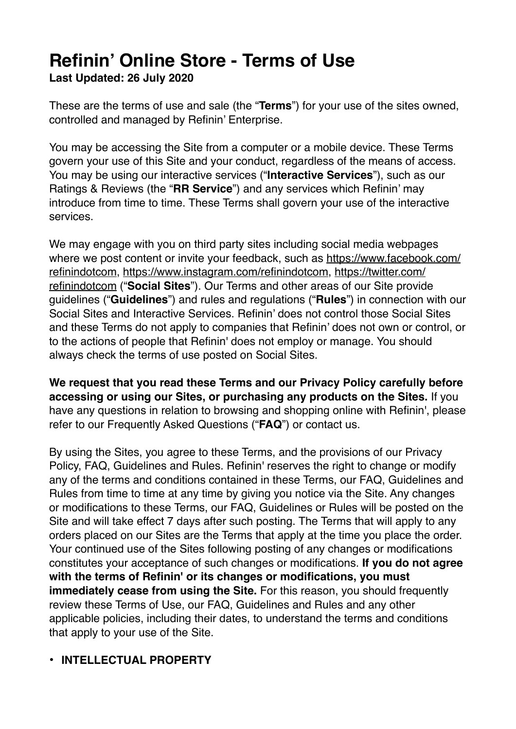# **Refinin' Online Store - Terms of Use**

**Last Updated: 26 July 2020**

These are the terms of use and sale (the "**Terms**") for your use of the sites owned, controlled and managed by Refinin' Enterprise.

You may be accessing the Site from a computer or a mobile device. These Terms govern your use of this Site and your conduct, regardless of the means of access. You may be using our interactive services ("**Interactive Services**"), such as our Ratings & Reviews (the "**RR Service**") and any services which Refinin' may introduce from time to time. These Terms shall govern your use of the interactive services.

We may engage with you on third party sites including social media webpages where we post content or invite your feedback, such as [https://www.facebook.com/](https://www.facebook.com/refinindotcom) [refinindotcom,](https://www.facebook.com/refinindotcom) [https://www.instagram.com/refinindotcom,](https://www.instagram.com/refinindotcom) https://twitter.com/ refinindotcom ("**Social Sites**"). Our Terms and other areas of our Site provide guidelines ("**Guidelines**") and rules and regulations ("**Rules**") in connection with our Social Sites and Interactive Services. Refinin' does not control those Social Sites and these Terms do not apply to companies that Refinin' does not own or control, or to the actions of people that Refinin' does not employ or manage. You should always check the terms of use posted on Social Sites.

**We request that you read these Terms and our Privacy Policy carefully before accessing or using our Sites, or purchasing any products on the Sites.** If you have any questions in relation to browsing and shopping online with Refinin', please refer to our [Frequently Asked Questions](https://www.sephora.my/faqs) ("**FAQ**") or [contact us](https://www.sephora.my/contact-us).

By using the Sites, you agree to these Terms, and the provisions of our Privacy Policy, FAQ, Guidelines and Rules. Refinin' reserves the right to change or modify any of the terms and conditions contained in these Terms, our FAQ, Guidelines and Rules from time to time at any time by giving you notice via the Site. Any changes or modifications to these Terms, our FAQ, Guidelines or Rules will be posted on the Site and will take effect 7 days after such posting. The Terms that will apply to any orders placed on our Sites are the Terms that apply at the time you place the order. Your continued use of the Sites following posting of any changes or modifications constitutes your acceptance of such changes or modifications. **If you do not agree with the terms of Refinin' or its changes or modifications, you must immediately cease from using the Site.** For this reason, you should frequently review these Terms of Use, our FAQ, Guidelines and Rules and any other applicable policies, including their dates, to understand the terms and conditions that apply to your use of the Site.

#### **• INTELLECTUAL PROPERTY**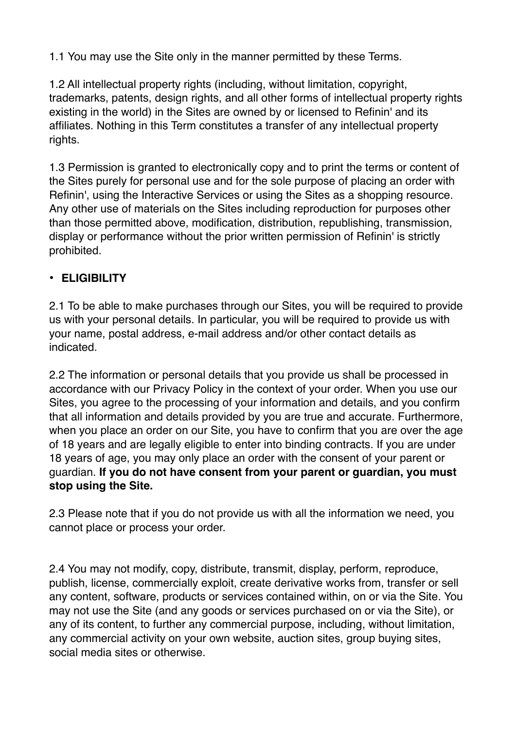1.1 You may use the Site only in the manner permitted by these Terms.

1.2 All intellectual property rights (including, without limitation, copyright, trademarks, patents, design rights, and all other forms of intellectual property rights existing in the world) in the Sites are owned by or licensed to Refinin' and its affiliates. Nothing in this Term constitutes a transfer of any intellectual property rights.

1.3 Permission is granted to electronically copy and to print the terms or content of the Sites purely for personal use and for the sole purpose of placing an order with Refinin', using the Interactive Services or using the Sites as a shopping resource. Any other use of materials on the Sites including reproduction for purposes other than those permitted above, modification, distribution, republishing, transmission, display or performance without the prior written permission of Refinin' is strictly prohibited.

## **• ELIGIBILITY**

2.1 To be able to make purchases through our Sites, you will be required to provide us with your personal details. In particular, you will be required to provide us with your name, postal address, e-mail address and/or other contact details as indicated.

2.2 The information or personal details that you provide us shall be processed in accordance with our Privacy Policy in the context of your order. When you use our Sites, you agree to the processing of your information and details, and you confirm that all information and details provided by you are true and accurate. Furthermore, when you place an order on our Site, you have to confirm that you are over the age of 18 years and are legally eligible to enter into binding contracts. If you are under 18 years of age, you may only place an order with the consent of your parent or guardian. **If you do not have consent from your parent or guardian, you must stop using the Site.**

2.3 Please note that if you do not provide us with all the information we need, you cannot place or process your order.

2.4 You may not modify, copy, distribute, transmit, display, perform, reproduce, publish, license, commercially exploit, create derivative works from, transfer or sell any content, software, products or services contained within, on or via the Site. You may not use the Site (and any goods or services purchased on or via the Site), or any of its content, to further any commercial purpose, including, without limitation, any commercial activity on your own website, auction sites, group buying sites, social media sites or otherwise.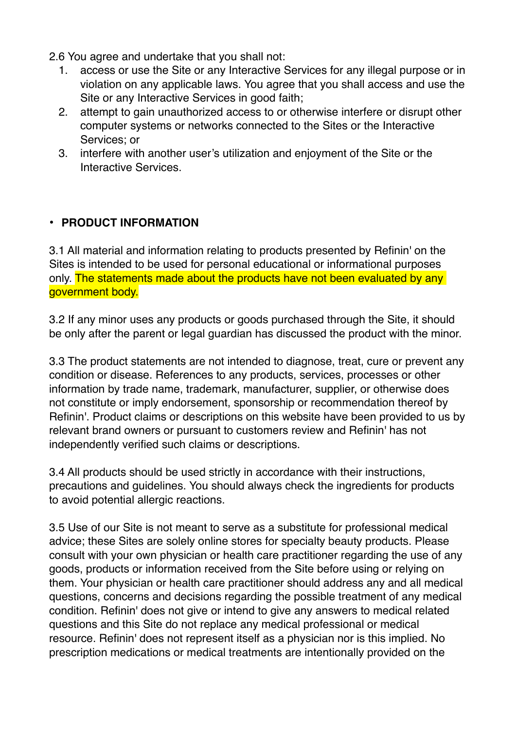- 2.6 You agree and undertake that you shall not:
	- 1. access or use the Site or any Interactive Services for any illegal purpose or in violation on any applicable laws. You agree that you shall access and use the Site or any Interactive Services in good faith;
	- 2. attempt to gain unauthorized access to or otherwise interfere or disrupt other computer systems or networks connected to the Sites or the Interactive Services; or
	- 3. interfere with another user's utilization and enjoyment of the Site or the Interactive Services.

#### **• PRODUCT INFORMATION**

3.1 All material and information relating to products presented by Refinin' on the Sites is intended to be used for personal educational or informational purposes only. The statements made about the products have not been evaluated by any government body.

3.2 If any minor uses any products or goods purchased through the Site, it should be only after the parent or legal guardian has discussed the product with the minor.

3.3 The product statements are not intended to diagnose, treat, cure or prevent any condition or disease. References to any products, services, processes or other information by trade name, trademark, manufacturer, supplier, or otherwise does not constitute or imply endorsement, sponsorship or recommendation thereof by Refinin'. Product claims or descriptions on this website have been provided to us by relevant brand owners or pursuant to customers review and Refinin' has not independently verified such claims or descriptions.

3.4 All products should be used strictly in accordance with their instructions, precautions and guidelines. You should always check the ingredients for products to avoid potential allergic reactions.

3.5 Use of our Site is not meant to serve as a substitute for professional medical advice; these Sites are solely online stores for specialty beauty products. Please consult with your own physician or health care practitioner regarding the use of any goods, products or information received from the Site before using or relying on them. Your physician or health care practitioner should address any and all medical questions, concerns and decisions regarding the possible treatment of any medical condition. Refinin' does not give or intend to give any answers to medical related questions and this Site do not replace any medical professional or medical resource. Refinin' does not represent itself as a physician nor is this implied. No prescription medications or medical treatments are intentionally provided on the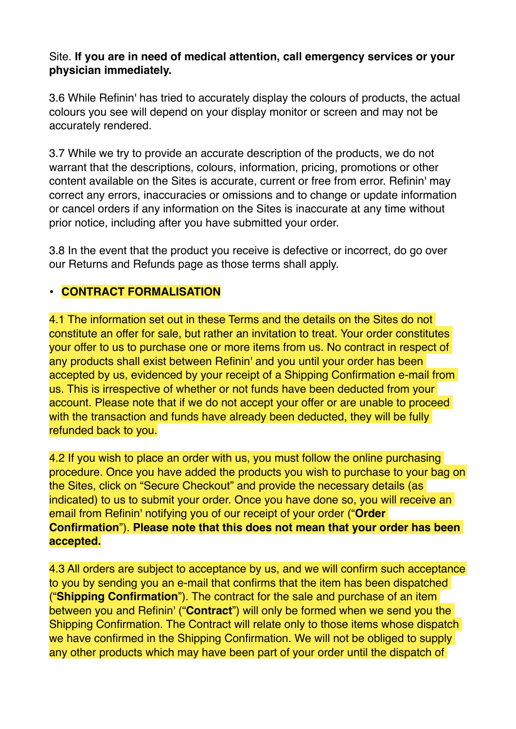#### Site. **If you are in need of medical attention, call emergency services or your physician immediately.**

3.6 While Refinin' has tried to accurately display the colours of products, the actual colours you see will depend on your display monitor or screen and may not be accurately rendered.

3.7 While we try to provide an accurate description of the products, we do not warrant that the descriptions, colours, information, pricing, promotions or other content available on the Sites is accurate, current or free from error. Refinin' may correct any errors, inaccuracies or omissions and to change or update information or cancel orders if any information on the Sites is inaccurate at any time without prior notice, including after you have submitted your order.

3.8 In the event that the product you receive is defective or incorrect, do go over our Returns and Refunds page as those terms shall apply.

#### **• CONTRACT FORMALISATION**

4.1 The information set out in these Terms and the details on the Sites do not constitute an offer for sale, but rather an invitation to treat. Your order constitutes your offer to us to purchase one or more items from us. No contract in respect of any products shall exist between Refinin' and you until your order has been accepted by us, evidenced by your receipt of a Shipping Confirmation e-mail from us. This is irrespective of whether or not funds have been deducted from your account. Please note that if we do not accept your offer or are unable to proceed with the transaction and funds have already been deducted, they will be fully refunded back to you.

4.2 If you wish to place an order with us, you must follow the online purchasing procedure. Once you have added the products you wish to purchase to your bag on the Sites, click on "Secure Checkout" and provide the necessary details (as indicated) to us to submit your order. Once you have done so, you will receive an email from Refinin' notifying you of our receipt of your order ("**Order Confirmation**"). **Please note that this does not mean that your order has been accepted.**

4.3 All orders are subject to acceptance by us, and we will confirm such acceptance to you by sending you an e-mail that confirms that the item has been dispatched ("**Shipping Confirmation**"). The contract for the sale and purchase of an item between you and Refinin' ("**Contract**") will only be formed when we send you the Shipping Confirmation. The Contract will relate only to those items whose dispatch we have confirmed in the Shipping Confirmation. We will not be obliged to supply any other products which may have been part of your order until the dispatch of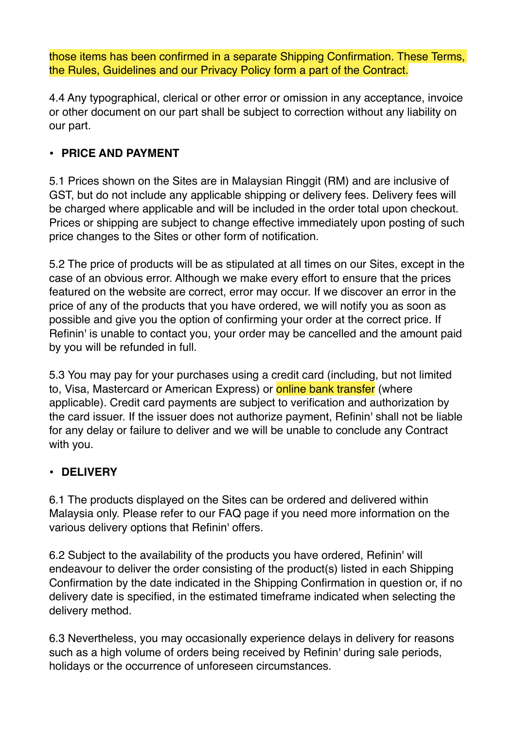those items has been confirmed in a separate Shipping Confirmation. These Terms, the Rules, Guidelines and our Privacy Policy form a part of the Contract.

4.4 Any typographical, clerical or other error or omission in any acceptance, invoice or other document on our part shall be subject to correction without any liability on our part.

#### **• PRICE AND PAYMENT**

5.1 Prices shown on the Sites are in Malaysian Ringgit (RM) and are inclusive of GST, but do not include any applicable shipping or delivery fees. Delivery fees will be charged where applicable and will be included in the order total upon checkout. Prices or shipping are subject to change effective immediately upon posting of such price changes to the Sites or other form of notification.

5.2 The price of products will be as stipulated at all times on our Sites, except in the case of an obvious error. Although we make every effort to ensure that the prices featured on the website are correct, error may occur. If we discover an error in the price of any of the products that you have ordered, we will notify you as soon as possible and give you the option of confirming your order at the correct price. If Refinin' is unable to contact you, your order may be cancelled and the amount paid by you will be refunded in full.

5.3 You may pay for your purchases using a credit card (including, but not limited to, Visa, Mastercard or American Express) or **online bank transfer** (where applicable). Credit card payments are subject to verification and authorization by the card issuer. If the issuer does not authorize payment, Refinin' shall not be liable for any delay or failure to deliver and we will be unable to conclude any Contract with you.

## **• DELIVERY**

6.1 The products displayed on the Sites can be ordered and delivered within Malaysia only. Please refer to our FAQ page if you need more information on the various delivery options that Refinin' offers.

6.2 Subject to the availability of the products you have ordered, Refinin' will endeavour to deliver the order consisting of the product(s) listed in each Shipping Confirmation by the date indicated in the Shipping Confirmation in question or, if no delivery date is specified, in the estimated timeframe indicated when selecting the delivery method.

6.3 Nevertheless, you may occasionally experience delays in delivery for reasons such as a high volume of orders being received by Refinin' during sale periods, holidays or the occurrence of unforeseen circumstances.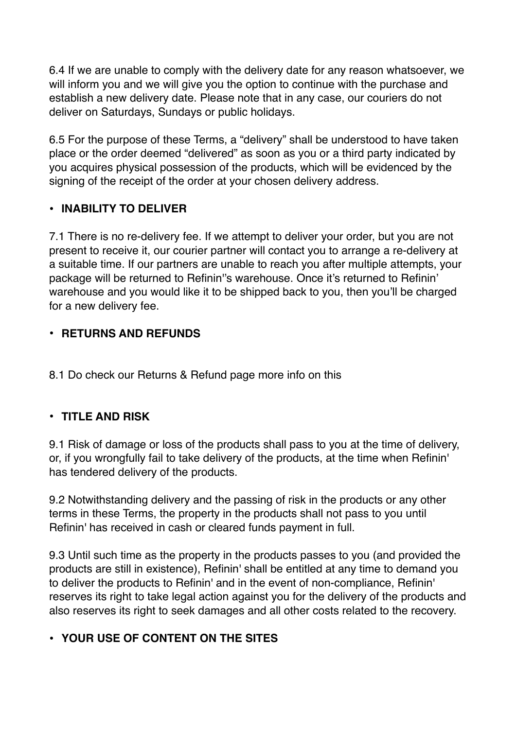6.4 If we are unable to comply with the delivery date for any reason whatsoever, we will inform you and we will give you the option to continue with the purchase and establish a new delivery date. Please note that in any case, our couriers do not deliver on Saturdays, Sundays or public holidays.

6.5 For the purpose of these Terms, a "delivery" shall be understood to have taken place or the order deemed "delivered" as soon as you or a third party indicated by you acquires physical possession of the products, which will be evidenced by the signing of the receipt of the order at your chosen delivery address.

#### **• INABILITY TO DELIVER**

7.1 There is no re-delivery fee. If we attempt to deliver your order, but you are not present to receive it, our courier partner will contact you to arrange a re-delivery at a suitable time. If our partners are unable to reach you after multiple attempts, your package will be returned to Refinin''s warehouse. Once it's returned to Refinin' warehouse and you would like it to be shipped back to you, then you'll be charged for a new delivery fee.

## **• RETURNS AND REFUNDS**

8.1 Do check our Returns & Refund page more info on this

#### **• TITLE AND RISK**

9.1 Risk of damage or loss of the products shall pass to you at the time of delivery, or, if you wrongfully fail to take delivery of the products, at the time when Refinin' has tendered delivery of the products.

9.2 Notwithstanding delivery and the passing of risk in the products or any other terms in these Terms, the property in the products shall not pass to you until Refinin' has received in cash or cleared funds payment in full.

9.3 Until such time as the property in the products passes to you (and provided the products are still in existence), Refinin' shall be entitled at any time to demand you to deliver the products to Refinin' and in the event of non-compliance, Refinin' reserves its right to take legal action against you for the delivery of the products and also reserves its right to seek damages and all other costs related to the recovery.

## **• YOUR USE OF CONTENT ON THE SITES**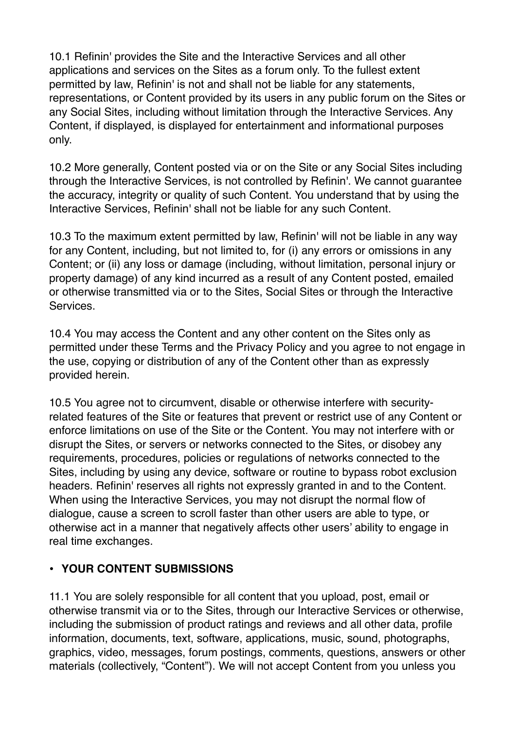10.1 Refinin' provides the Site and the Interactive Services and all other applications and services on the Sites as a forum only. To the fullest extent permitted by law, Refinin' is not and shall not be liable for any statements, representations, or Content provided by its users in any public forum on the Sites or any Social Sites, including without limitation through the Interactive Services. Any Content, if displayed, is displayed for entertainment and informational purposes only.

10.2 More generally, Content posted via or on the Site or any Social Sites including through the Interactive Services, is not controlled by Refinin'. We cannot guarantee the accuracy, integrity or quality of such Content. You understand that by using the Interactive Services, Refinin' shall not be liable for any such Content.

10.3 To the maximum extent permitted by law, Refinin' will not be liable in any way for any Content, including, but not limited to, for (i) any errors or omissions in any Content; or (ii) any loss or damage (including, without limitation, personal injury or property damage) of any kind incurred as a result of any Content posted, emailed or otherwise transmitted via or to the Sites, Social Sites or through the Interactive Services.

10.4 You may access the Content and any other content on the Sites only as permitted under these Terms and the Privacy Policy and you agree to not engage in the use, copying or distribution of any of the Content other than as expressly provided herein.

10.5 You agree not to circumvent, disable or otherwise interfere with securityrelated features of the Site or features that prevent or restrict use of any Content or enforce limitations on use of the Site or the Content. You may not interfere with or disrupt the Sites, or servers or networks connected to the Sites, or disobey any requirements, procedures, policies or regulations of networks connected to the Sites, including by using any device, software or routine to bypass robot exclusion headers. Refinin' reserves all rights not expressly granted in and to the Content. When using the Interactive Services, you may not disrupt the normal flow of dialogue, cause a screen to scroll faster than other users are able to type, or otherwise act in a manner that negatively affects other users' ability to engage in real time exchanges.

## **• YOUR CONTENT SUBMISSIONS**

11.1 You are solely responsible for all content that you upload, post, email or otherwise transmit via or to the Sites, through our Interactive Services or otherwise, including the submission of product ratings and reviews and all other data, profile information, documents, text, software, applications, music, sound, photographs, graphics, video, messages, forum postings, comments, questions, answers or other materials (collectively, "Content"). We will not accept Content from you unless you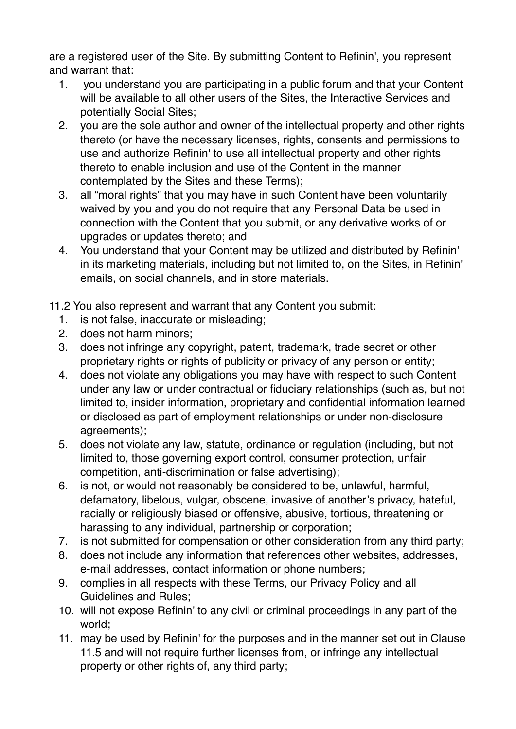are a registered user of the Site. By submitting Content to Refinin', you represent and warrant that:

- 1. you understand you are participating in a public forum and that your Content will be available to all other users of the Sites, the Interactive Services and potentially Social Sites;
- 2. you are the sole author and owner of the intellectual property and other rights thereto (or have the necessary licenses, rights, consents and permissions to use and authorize Refinin' to use all intellectual property and other rights thereto to enable inclusion and use of the Content in the manner contemplated by the Sites and these Terms);
- 3. all "moral rights" that you may have in such Content have been voluntarily waived by you and you do not require that any Personal Data be used in connection with the Content that you submit, or any derivative works of or upgrades or updates thereto; and
- 4. You understand that your Content may be utilized and distributed by Refinin' in its marketing materials, including but not limited to, on the Sites, in Refinin' emails, on social channels, and in store materials.

11.2 You also represent and warrant that any Content you submit:

- 1. is not false, inaccurate or misleading;
- 2. does not harm minors;
- 3. does not infringe any copyright, patent, trademark, trade secret or other proprietary rights or rights of publicity or privacy of any person or entity;
- 4. does not violate any obligations you may have with respect to such Content under any law or under contractual or fiduciary relationships (such as, but not limited to, insider information, proprietary and confidential information learned or disclosed as part of employment relationships or under non-disclosure agreements);
- 5. does not violate any law, statute, ordinance or regulation (including, but not limited to, those governing export control, consumer protection, unfair competition, anti-discrimination or false advertising);
- 6. is not, or would not reasonably be considered to be, unlawful, harmful, defamatory, libelous, vulgar, obscene, invasive of another's privacy, hateful, racially or religiously biased or offensive, abusive, tortious, threatening or harassing to any individual, partnership or corporation;
- 7. is not submitted for compensation or other consideration from any third party;
- 8. does not include any information that references other websites, addresses, e-mail addresses, contact information or phone numbers;
- 9. complies in all respects with these Terms, our Privacy Policy and all Guidelines and Rules;
- 10. will not expose Refinin' to any civil or criminal proceedings in any part of the world;
- 11. may be used by Refinin' for the purposes and in the manner set out in Clause 11.5 and will not require further licenses from, or infringe any intellectual property or other rights of, any third party;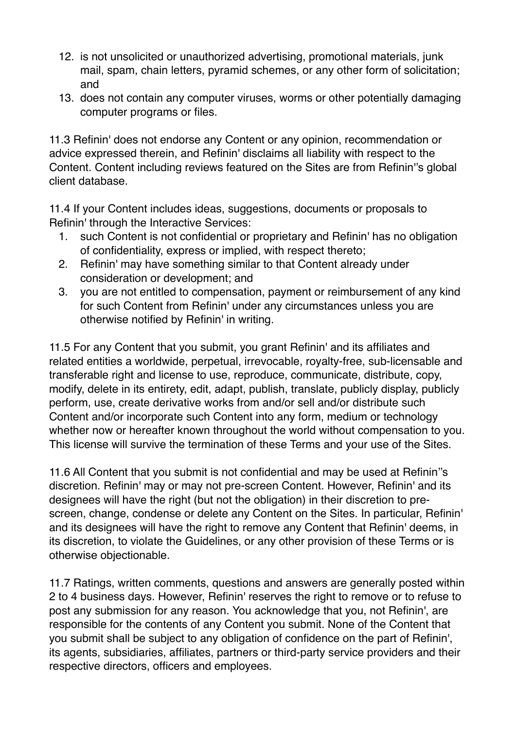- 12. is not unsolicited or unauthorized advertising, promotional materials, junk mail, spam, chain letters, pyramid schemes, or any other form of solicitation; and
- 13. does not contain any computer viruses, worms or other potentially damaging computer programs or files.

11.3 Refinin' does not endorse any Content or any opinion, recommendation or advice expressed therein, and Refinin' disclaims all liability with respect to the Content. Content including reviews featured on the Sites are from Refinin''s global client database.

11.4 If your Content includes ideas, suggestions, documents or proposals to Refinin' through the Interactive Services:

- 1. such Content is not confidential or proprietary and Refinin' has no obligation of confidentiality, express or implied, with respect thereto;
- 2. Refinin' may have something similar to that Content already under consideration or development; and
- 3. you are not entitled to compensation, payment or reimbursement of any kind for such Content from Refinin' under any circumstances unless you are otherwise notified by Refinin' in writing.

11.5 For any Content that you submit, you grant Refinin' and its affiliates and related entities a worldwide, perpetual, irrevocable, royalty-free, sub-licensable and transferable right and license to use, reproduce, communicate, distribute, copy, modify, delete in its entirety, edit, adapt, publish, translate, publicly display, publicly perform, use, create derivative works from and/or sell and/or distribute such Content and/or incorporate such Content into any form, medium or technology whether now or hereafter known throughout the world without compensation to you. This license will survive the termination of these Terms and your use of the Sites.

11.6 All Content that you submit is not confidential and may be used at Refinin''s discretion. Refinin' may or may not pre-screen Content. However, Refinin' and its designees will have the right (but not the obligation) in their discretion to prescreen, change, condense or delete any Content on the Sites. In particular, Refinin' and its designees will have the right to remove any Content that Refinin' deems, in its discretion, to violate the Guidelines, or any other provision of these Terms or is otherwise objectionable.

11.7 Ratings, written comments, questions and answers are generally posted within 2 to 4 business days. However, Refinin' reserves the right to remove or to refuse to post any submission for any reason. You acknowledge that you, not Refinin', are responsible for the contents of any Content you submit. None of the Content that you submit shall be subject to any obligation of confidence on the part of Refinin', its agents, subsidiaries, affiliates, partners or third-party service providers and their respective directors, officers and employees.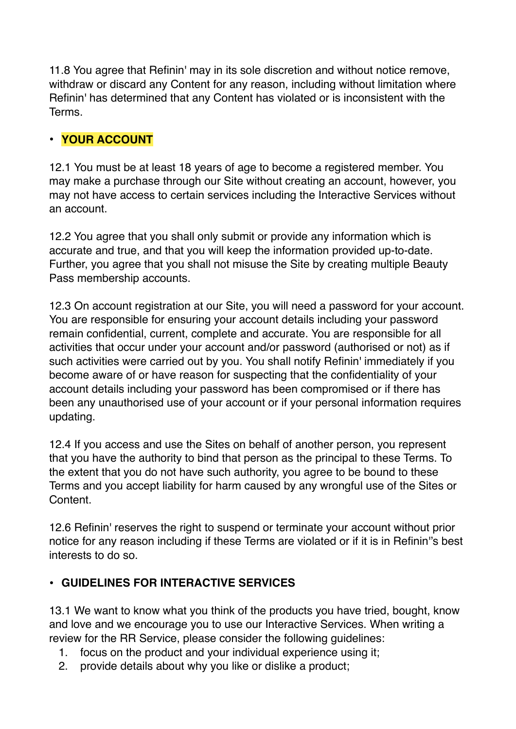11.8 You agree that Refinin' may in its sole discretion and without notice remove, withdraw or discard any Content for any reason, including without limitation where Refinin' has determined that any Content has violated or is inconsistent with the Terms.

## **• YOUR ACCOUNT**

12.1 You must be at least 18 years of age to become a registered member. You may make a purchase through our Site without creating an account, however, you may not have access to certain services including the Interactive Services without an account.

12.2 You agree that you shall only submit or provide any information which is accurate and true, and that you will keep the information provided up-to-date. Further, you agree that you shall not misuse the Site by creating multiple Beauty Pass membership accounts.

12.3 On account registration at our Site, you will need a password for your account. You are responsible for ensuring your account details including your password remain confidential, current, complete and accurate. You are responsible for all activities that occur under your account and/or password (authorised or not) as if such activities were carried out by you. You shall notify Refinin' immediately if you become aware of or have reason for suspecting that the confidentiality of your account details including your password has been compromised or if there has been any unauthorised use of your account or if your personal information requires updating.

12.4 If you access and use the Sites on behalf of another person, you represent that you have the authority to bind that person as the principal to these Terms. To the extent that you do not have such authority, you agree to be bound to these Terms and you accept liability for harm caused by any wrongful use of the Sites or Content.

12.6 Refinin' reserves the right to suspend or terminate your account without prior notice for any reason including if these Terms are violated or if it is in Refinin''s best interests to do so.

#### **• GUIDELINES FOR INTERACTIVE SERVICES**

13.1 We want to know what you think of the products you have tried, bought, know and love and we encourage you to use our Interactive Services. When writing a review for the RR Service, please consider the following guidelines:

- 1. focus on the product and your individual experience using it;
- 2. provide details about why you like or dislike a product;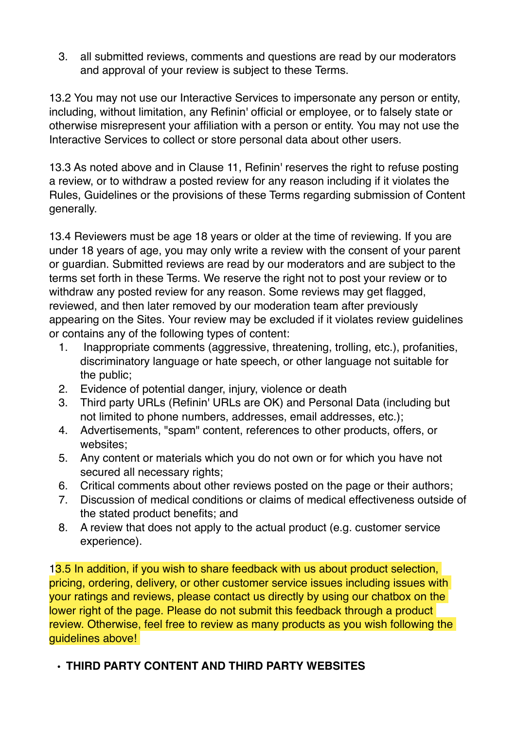3. all submitted reviews, comments and questions are read by our moderators and approval of your review is subject to these Terms.

13.2 You may not use our Interactive Services to impersonate any person or entity, including, without limitation, any Refinin' official or employee, or to falsely state or otherwise misrepresent your affiliation with a person or entity. You may not use the Interactive Services to collect or store personal data about other users.

13.3 As noted above and in Clause 11, Refinin' reserves the right to refuse posting a review, or to withdraw a posted review for any reason including if it violates the Rules, Guidelines or the provisions of these Terms regarding submission of Content generally.

13.4 Reviewers must be age 18 years or older at the time of reviewing. If you are under 18 years of age, you may only write a review with the consent of your parent or guardian. Submitted reviews are read by our moderators and are subject to the terms set forth in these Terms. We reserve the right not to post your review or to withdraw any posted review for any reason. Some reviews may get flagged, reviewed, and then later removed by our moderation team after previously appearing on the Sites. Your review may be excluded if it violates review guidelines or contains any of the following types of content:

- 1. Inappropriate comments (aggressive, threatening, trolling, etc.), profanities, discriminatory language or hate speech, or other language not suitable for the public;
- 2. Evidence of potential danger, injury, violence or death
- 3. Third party URLs (Refinin' URLs are OK) and Personal Data (including but not limited to phone numbers, addresses, email addresses, etc.);
- 4. Advertisements, "spam" content, references to other products, offers, or websites;
- 5. Any content or materials which you do not own or for which you have not secured all necessary rights;
- 6. Critical comments about other reviews posted on the page or their authors;
- 7. Discussion of medical conditions or claims of medical effectiveness outside of the stated product benefits; and
- 8. A review that does not apply to the actual product (e.g. customer service experience).

13.5 In addition, if you wish to share feedback with us about product selection, pricing, ordering, delivery, or other customer service issues including issues with your ratings and reviews, please contact us directly by using our chatbox on the lower right of the page. Please do not submit this feedback through a product review. Otherwise, feel free to review as many products as you wish following the guidelines above!

## **• THIRD PARTY CONTENT AND THIRD PARTY WEBSITES**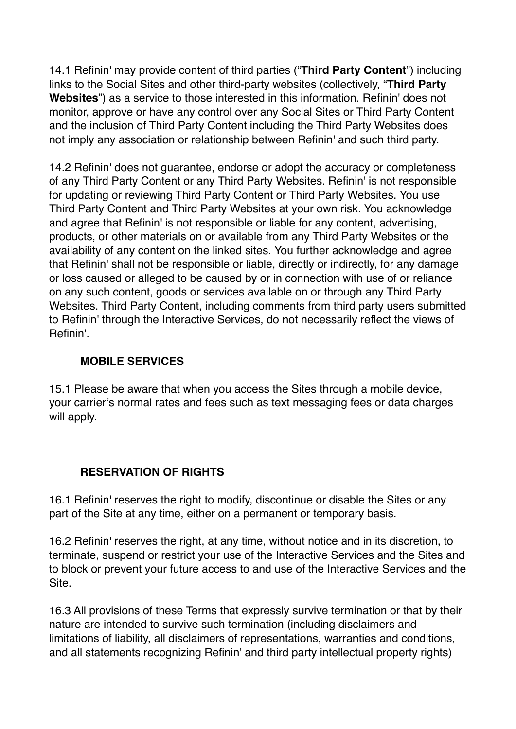14.1 Refinin' may provide content of third parties ("**Third Party Content**") including links to the Social Sites and other third-party websites (collectively, "**Third Party Websites**") as a service to those interested in this information. Refinin' does not monitor, approve or have any control over any Social Sites or Third Party Content and the inclusion of Third Party Content including the Third Party Websites does not imply any association or relationship between Refinin' and such third party.

14.2 Refinin' does not guarantee, endorse or adopt the accuracy or completeness of any Third Party Content or any Third Party Websites. Refinin' is not responsible for updating or reviewing Third Party Content or Third Party Websites. You use Third Party Content and Third Party Websites at your own risk. You acknowledge and agree that Refinin' is not responsible or liable for any content, advertising, products, or other materials on or available from any Third Party Websites or the availability of any content on the linked sites. You further acknowledge and agree that Refinin' shall not be responsible or liable, directly or indirectly, for any damage or loss caused or alleged to be caused by or in connection with use of or reliance on any such content, goods or services available on or through any Third Party Websites. Third Party Content, including comments from third party users submitted to Refinin' through the Interactive Services, do not necessarily reflect the views of Refinin'.

#### **MOBILE SERVICES**

15.1 Please be aware that when you access the Sites through a mobile device, your carrier's normal rates and fees such as text messaging fees or data charges will apply.

#### **RESERVATION OF RIGHTS**

16.1 Refinin' reserves the right to modify, discontinue or disable the Sites or any part of the Site at any time, either on a permanent or temporary basis.

16.2 Refinin' reserves the right, at any time, without notice and in its discretion, to terminate, suspend or restrict your use of the Interactive Services and the Sites and to block or prevent your future access to and use of the Interactive Services and the Site.

16.3 All provisions of these Terms that expressly survive termination or that by their nature are intended to survive such termination (including disclaimers and limitations of liability, all disclaimers of representations, warranties and conditions, and all statements recognizing Refinin' and third party intellectual property rights)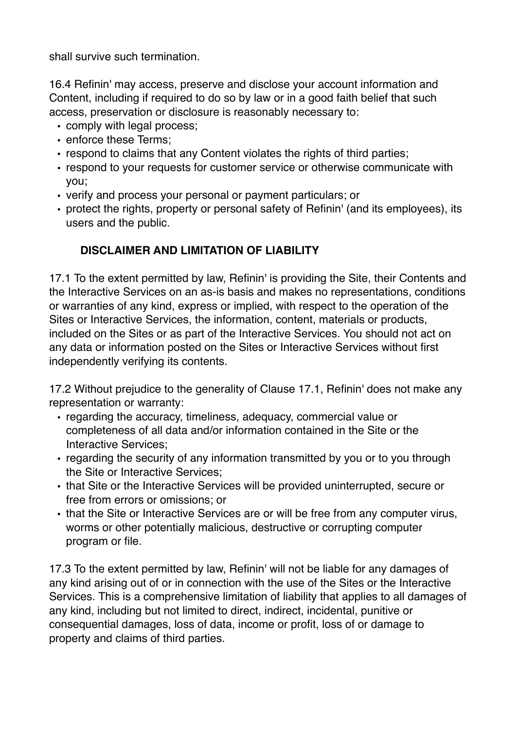shall survive such termination.

16.4 Refinin' may access, preserve and disclose your account information and Content, including if required to do so by law or in a good faith belief that such access, preservation or disclosure is reasonably necessary to:

- comply with legal process;
- enforce these Terms;
- respond to claims that any Content violates the rights of third parties;
- respond to your requests for customer service or otherwise communicate with you;
- verify and process your personal or payment particulars; or
- protect the rights, property or personal safety of Refinin' (and its employees), its users and the public.

# **DISCLAIMER AND LIMITATION OF LIABILITY**

17.1 To the extent permitted by law, Refinin' is providing the Site, their Contents and the Interactive Services on an as-is basis and makes no representations, conditions or warranties of any kind, express or implied, with respect to the operation of the Sites or Interactive Services, the information, content, materials or products, included on the Sites or as part of the Interactive Services. You should not act on any data or information posted on the Sites or Interactive Services without first independently verifying its contents.

17.2 Without prejudice to the generality of Clause 17.1, Refinin' does not make any representation or warranty:

- regarding the accuracy, timeliness, adequacy, commercial value or completeness of all data and/or information contained in the Site or the Interactive Services;
- regarding the security of any information transmitted by you or to you through the Site or Interactive Services;
- that Site or the Interactive Services will be provided uninterrupted, secure or free from errors or omissions; or
- that the Site or Interactive Services are or will be free from any computer virus, worms or other potentially malicious, destructive or corrupting computer program or file.

17.3 To the extent permitted by law, Refinin' will not be liable for any damages of any kind arising out of or in connection with the use of the Sites or the Interactive Services. This is a comprehensive limitation of liability that applies to all damages of any kind, including but not limited to direct, indirect, incidental, punitive or consequential damages, loss of data, income or profit, loss of or damage to property and claims of third parties.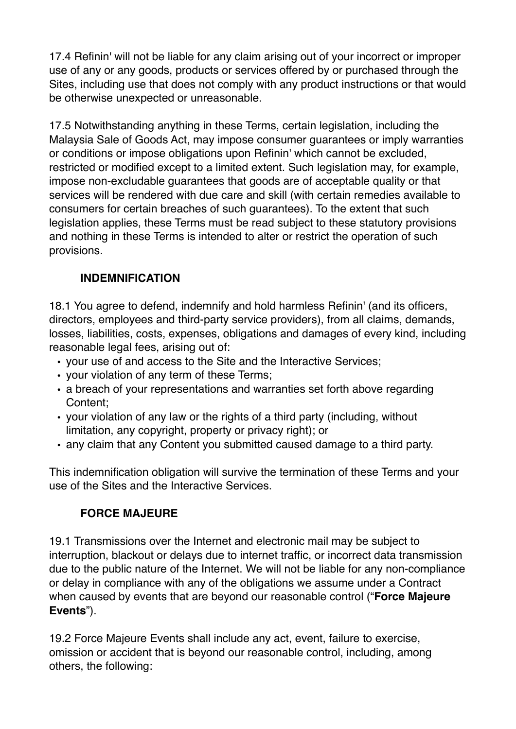17.4 Refinin' will not be liable for any claim arising out of your incorrect or improper use of any or any goods, products or services offered by or purchased through the Sites, including use that does not comply with any product instructions or that would be otherwise unexpected or unreasonable.

17.5 Notwithstanding anything in these Terms, certain legislation, including the Malaysia Sale of Goods Act, may impose consumer guarantees or imply warranties or conditions or impose obligations upon Refinin' which cannot be excluded, restricted or modified except to a limited extent. Such legislation may, for example, impose non-excludable guarantees that goods are of acceptable quality or that services will be rendered with due care and skill (with certain remedies available to consumers for certain breaches of such guarantees). To the extent that such legislation applies, these Terms must be read subject to these statutory provisions and nothing in these Terms is intended to alter or restrict the operation of such provisions.

## **INDEMNIFICATION**

18.1 You agree to defend, indemnify and hold harmless Refinin' (and its officers, directors, employees and third-party service providers), from all claims, demands, losses, liabilities, costs, expenses, obligations and damages of every kind, including reasonable legal fees, arising out of:

- your use of and access to the Site and the Interactive Services;
- your violation of any term of these Terms;
- a breach of your representations and warranties set forth above regarding Content;
- your violation of any law or the rights of a third party (including, without limitation, any copyright, property or privacy right); or
- any claim that any Content you submitted caused damage to a third party.

This indemnification obligation will survive the termination of these Terms and your use of the Sites and the Interactive Services.

#### **FORCE MAJEURE**

19.1 Transmissions over the Internet and electronic mail may be subject to interruption, blackout or delays due to internet traffic, or incorrect data transmission due to the public nature of the Internet. We will not be liable for any non-compliance or delay in compliance with any of the obligations we assume under a Contract when caused by events that are beyond our reasonable control ("**Force Majeure Events**").

19.2 Force Majeure Events shall include any act, event, failure to exercise, omission or accident that is beyond our reasonable control, including, among others, the following: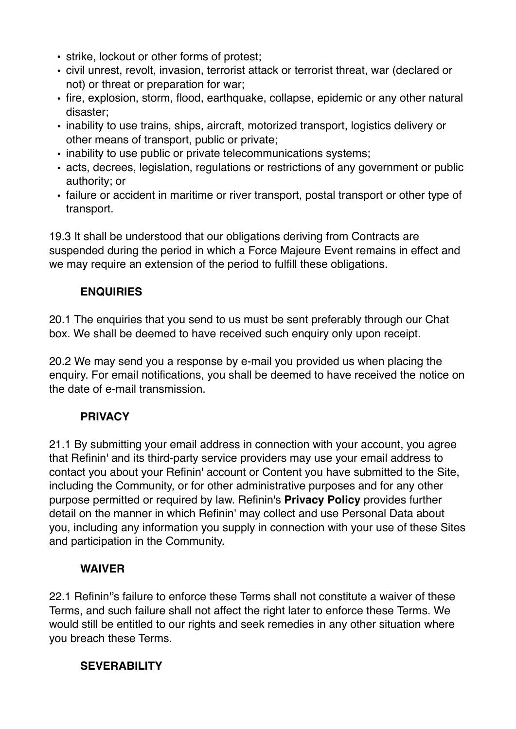- strike, lockout or other forms of protest;
- civil unrest, revolt, invasion, terrorist attack or terrorist threat, war (declared or not) or threat or preparation for war;
- fire, explosion, storm, flood, earthquake, collapse, epidemic or any other natural disaster;
- inability to use trains, ships, aircraft, motorized transport, logistics delivery or other means of transport, public or private;
- inability to use public or private telecommunications systems;
- acts, decrees, legislation, regulations or restrictions of any government or public authority; or
- failure or accident in maritime or river transport, postal transport or other type of transport.

19.3 It shall be understood that our obligations deriving from Contracts are suspended during the period in which a Force Majeure Event remains in effect and we may require an extension of the period to fulfill these obligations.

## **ENQUIRIES**

20.1 The enquiries that you send to us must be sent preferably through our Chat box. We shall be deemed to have received such enquiry only upon receipt.

20.2 We may send you a response by e-mail you provided us when placing the enquiry. For email notifications, you shall be deemed to have received the notice on the date of e-mail transmission.

## **PRIVACY**

21.1 By submitting your email address in connection with your account, you agree that Refinin' and its third-party service providers may use your email address to contact you about your Refinin' account or Content you have submitted to the Site, including the Community, or for other administrative purposes and for any other purpose permitted or required by law. Refinin's **[Privacy Policy](https://www.sephora.sg/privacy)** provides further detail on the manner in which Refinin' may collect and use Personal Data about you, including any information you supply in connection with your use of these Sites and participation in the Community.

# **WAIVER**

22.1 Refinin''s failure to enforce these Terms shall not constitute a waiver of these Terms, and such failure shall not affect the right later to enforce these Terms. We would still be entitled to our rights and seek remedies in any other situation where you breach these Terms.

# **SEVERABILITY**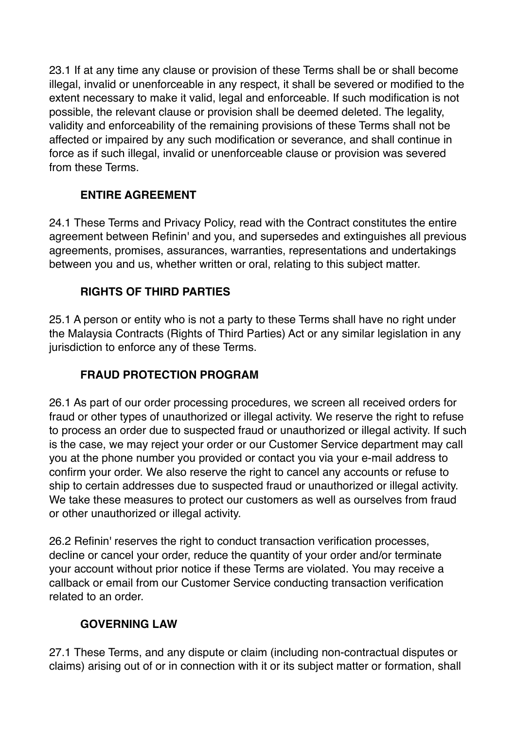23.1 If at any time any clause or provision of these Terms shall be or shall become illegal, invalid or unenforceable in any respect, it shall be severed or modified to the extent necessary to make it valid, legal and enforceable. If such modification is not possible, the relevant clause or provision shall be deemed deleted. The legality, validity and enforceability of the remaining provisions of these Terms shall not be affected or impaired by any such modification or severance, and shall continue in force as if such illegal, invalid or unenforceable clause or provision was severed from these Terms.

## **ENTIRE AGREEMENT**

24.1 These Terms and Privacy Policy, read with the Contract constitutes the entire agreement between Refinin' and you, and supersedes and extinguishes all previous agreements, promises, assurances, warranties, representations and undertakings between you and us, whether written or oral, relating to this subject matter.

## **RIGHTS OF THIRD PARTIES**

25.1 A person or entity who is not a party to these Terms shall have no right under the Malaysia Contracts (Rights of Third Parties) Act or any similar legislation in any jurisdiction to enforce any of these Terms.

# **FRAUD PROTECTION PROGRAM**

26.1 As part of our order processing procedures, we screen all received orders for fraud or other types of unauthorized or illegal activity. We reserve the right to refuse to process an order due to suspected fraud or unauthorized or illegal activity. If such is the case, we may reject your order or our Customer Service department may call you at the phone number you provided or contact you via your e-mail address to confirm your order. We also reserve the right to cancel any accounts or refuse to ship to certain addresses due to suspected fraud or unauthorized or illegal activity. We take these measures to protect our customers as well as ourselves from fraud or other unauthorized or illegal activity.

26.2 Refinin' reserves the right to conduct transaction verification processes, decline or cancel your order, reduce the quantity of your order and/or terminate your account without prior notice if these Terms are violated. You may receive a callback or email from our Customer Service conducting transaction verification related to an order.

## **GOVERNING LAW**

27.1 These Terms, and any dispute or claim (including non-contractual disputes or claims) arising out of or in connection with it or its subject matter or formation, shall